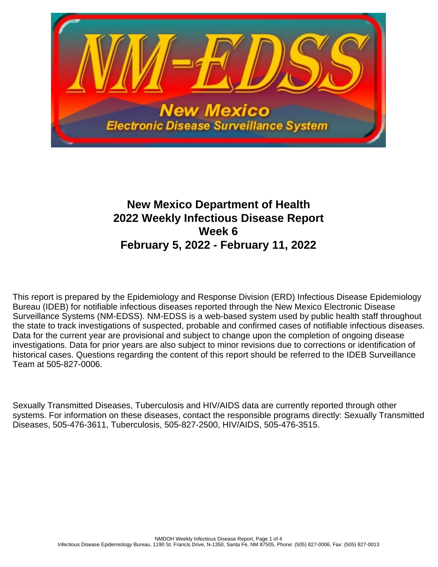

# **New Mexico Department of Health 2022 Weekly Infectious Disease Report Week 6 February 5, 2022 - February 11, 2022**

This report is prepared by the Epidemiology and Response Division (ERD) Infectious Disease Epidemiology Bureau (IDEB) for notifiable infectious diseases reported through the New Mexico Electronic Disease Surveillance Systems (NM-EDSS). NM-EDSS is a web-based system used by public health staff throughout the state to track investigations of suspected, probable and confirmed cases of notifiable infectious diseases. Data for the current year are provisional and subject to change upon the completion of ongoing disease investigations. Data for prior years are also subject to minor revisions due to corrections or identification of historical cases. Questions regarding the content of this report should be referred to the IDEB Surveillance Team at 505-827-0006.

Sexually Transmitted Diseases, Tuberculosis and HIV/AIDS data are currently reported through other systems. For information on these diseases, contact the responsible programs directly: Sexually Transmitted Diseases, 505-476-3611, Tuberculosis, 505-827-2500, HIV/AIDS, 505-476-3515.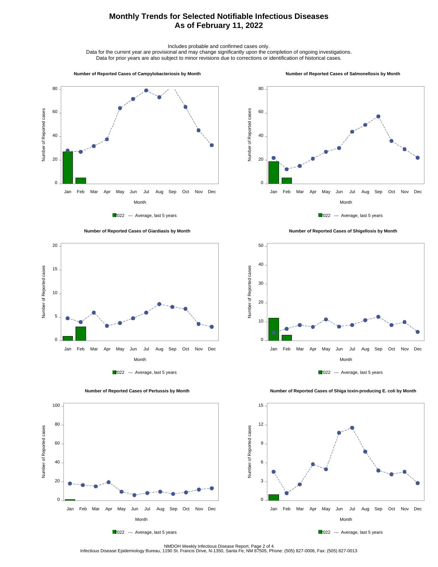## **Monthly Trends for Selected Notifiable Infectious Diseases As of February 11, 2022**

Includes probable and confirmed cases only.

Data for the current year are provisional and may change significantly upon the completion of ongoing investigations. Data for prior years are also subject to minor revisions due to corrections or identification of historical cases.

#### **Number of Reported Cases of Campylobacteriosis by Month**

#### **Number of Reported Cases of Salmonellosis by Month**









 **Number of Reported Cases of Shigellosis by Month**





 **Number of Reported Cases of Shiga toxin-producing E. coli by Month**







NMDOH Weekly Infectious Disease Report, Page 2 of 4<br>Infectious Disease Epidemiology Bureau, 1190 St. Francis Drive, N-1350, Santa Fe, NM 87505, Phone: (505) 827-0006, Fax: (505) 827-0013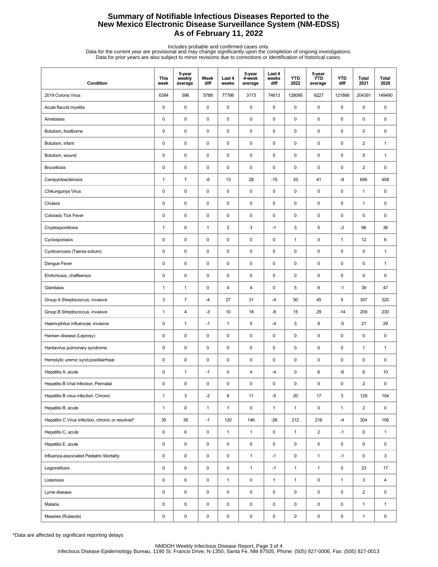## **Summary of Notifiable Infectious Diseases Reported to the New Mexico Electronic Disease Surveillance System (NM-EDSS) As of February 11, 2022**

Includes probable and confirmed cases only.<br>Data for the current year are provisional and may change significantly upon the completion of ongoing investigations.<br>Data for prior years are also subject to minor revisions due

| Condition                                         | <b>This</b><br>week | 5-year<br>weekly<br>average | Week<br>diff | Last 4<br>weeks | 5-year<br>4-week<br>average | Last 4<br>weeks<br>diff | <b>YTD</b><br>2022 | 5-year<br><b>YTD</b><br>average | <b>YTD</b><br>diff | Total<br>2021  | <b>Total</b><br>2020 |
|---------------------------------------------------|---------------------|-----------------------------|--------------|-----------------|-----------------------------|-------------------------|--------------------|---------------------------------|--------------------|----------------|----------------------|
| 2019 Corona Virus                                 | 6384                | 596                         | 5788         | 77786           | 3173                        | 74613                   | 128095             | 6227                            | 121868             | 204391         | 149490               |
| Acute flaccid myelitis                            | 0                   | $\mathsf 0$                 | 0            | 0               | $\pmb{0}$                   | $\pmb{0}$               | $\pmb{0}$          | 0                               | $\mathsf 0$        | 0              | 0                    |
| Amebiasis                                         | 0                   | 0                           | $\pmb{0}$    | 0               | 0                           | $\pmb{0}$               | 0                  | 0                               | $\pmb{0}$          | 0              | 0                    |
| Botulism, foodborne                               | 0                   | 0                           | 0            | 0               | 0                           | $\mathbf 0$             | $\pmb{0}$          | 0                               | $\mathbf 0$        | 0              | 0                    |
| Botulism, infant                                  | 0                   | 0                           | 0            | 0               | 0                           | 0                       | $\pmb{0}$          | 0                               | $\pmb{0}$          | $\overline{2}$ | $\mathbf{1}$         |
| Botulism, wound                                   | 0                   | 0                           | 0            | 0               | 0                           | $\mathbf 0$             | $\pmb{0}$          | 0                               | $\pmb{0}$          | 5              | $\mathbf{1}$         |
| <b>Brucellosis</b>                                | $\pmb{0}$           | $\pmb{0}$                   | 0            | 0               | $\pmb{0}$                   | $\mathsf 0$             | $\pmb{0}$          | 0                               | $\pmb{0}$          | $\overline{2}$ | 0                    |
| Campylobacteriosis                                | 1                   | $\overline{7}$              | $-6$         | 13              | 28                          | $-15$                   | 33                 | 41                              | -8                 | 646            | 458                  |
| Chikungunya Virus                                 | 0                   | 0                           | 0            | 0               | 0                           | $\mathbf 0$             | $\pmb{0}$          | 0                               | $\mathbf 0$        | $\mathbf{1}$   | 0                    |
| Cholera                                           | 0                   | $\mathsf 0$                 | $\pmb{0}$    | 0               | 0                           | $\pmb{0}$               | $\pmb{0}$          | 0                               | $\pmb{0}$          | $\mathbf{1}$   | 0                    |
| Colorado Tick Fever                               | 0                   | 0                           | 0            | 0               | 0                           | $\mathbf 0$             | $\pmb{0}$          | 0                               | $\mathbf 0$        | 0              | 0                    |
| Cryptosporidiosis                                 | $\mathbf{1}$        | $\mathsf 0$                 | $\mathbf{1}$ | $\overline{2}$  | $\ensuremath{\mathsf{3}}$   | $-1$                    | 3                  | 5                               | $-2$               | 66             | 36                   |
| Cyclosporiasis                                    | 0                   | 0                           | 0            | 0               | 0                           | $\mathbf 0$             | $\mathbf{1}$       | 0                               | $\mathbf{1}$       | 12             | 6                    |
| Cysticercosis (Taenia solium)                     | $\pmb{0}$           | $\mathsf 0$                 | $\pmb{0}$    | 0               | $\pmb{0}$                   | $\mathbf 0$             | $\pmb{0}$          | 0                               | $\pmb{0}$          | 0              | $\mathbf{1}$         |
| Dengue Fever                                      | 0                   | 0                           | 0            | 0               | 0                           | 0                       | $\pmb{0}$          | 0                               | $\pmb{0}$          | 0              | $\mathbf{1}$         |
| Ehrlichiosis, chaffeensis                         | 0                   | 0                           | 0            | 0               | 0                           | $\mathbf 0$             | $\pmb{0}$          | 0                               | $\mathbf 0$        | 0              | 0                    |
| Giardiasis                                        | 1                   | $\mathbf{1}$                | 0            | 4               | 4                           | 0                       | 5                  | 6                               | $-1$               | 39             | 47                   |
| Group A Streptococcus, invasive                   | 3                   | $\overline{7}$              | $-4$         | 27              | 31                          | -4                      | 50                 | 45                              | $\sqrt{5}$         | 357            | 320                  |
| Group B Streptococcus, invasive                   | 1                   | 4                           | $-3$         | 10              | 18                          | -8                      | 15                 | 29                              | $-14$              | 209            | 230                  |
| Haemophilus influenzae, invasive                  | 0                   | $\mathbf{1}$                | $-1$         | 1               | 5                           | $-4$                    | 3                  | 8                               | $-5$               | 21             | 29                   |
| Hansen disease (Leprosy)                          | 0                   | 0                           | 0            | 0               | 0                           | $\mathbf 0$             | $\pmb{0}$          | 0                               | $\mathbf 0$        | 0              | 0                    |
| Hantavirus pulmonary syndrome                     | $\pmb{0}$           | $\pmb{0}$                   | 0            | 0               | $\pmb{0}$                   | $\pmb{0}$               | $\pmb{0}$          | 0                               | $\pmb{0}$          | $\mathbf{1}$   | $\mathbf{1}$         |
| Hemolytic uremic synd, postdiarrheal              | 0                   | 0                           | 0            | 0               | 0                           | $\mathbf 0$             | 0                  | 0                               | $\pmb{0}$          | 0              | 0                    |
| Hepatitis A, acute                                | 0                   | $\mathbf{1}$                | $-1$         | 0               | $\overline{\mathbf{4}}$     | -4                      | 0                  | 6                               | -6                 | 6              | 10                   |
| Hepatitis B Viral Infection, Perinatal            | 0                   | 0                           | 0            | $\mathbf 0$     | $\pmb{0}$                   | 0                       | $\mathbf 0$        | 0                               | 0                  | $\overline{2}$ | 0                    |
| Hepatitis B virus infection, Chronic              | $\mathbf{1}$        | 3                           | $-2$         | 6               | 11                          | -5                      | 20                 | 17                              | 3                  | 129            | 104                  |
| Hepatitis B, acute                                | $\mathbf{1}$        | $\pmb{0}$                   | $\mathbf{1}$ | $\mathbf{1}$    | $\pmb{0}$                   | $\mathbf{1}$            | $\mathbf{1}$       | 0                               | $\mathbf{1}$       | $\overline{2}$ | $\mathsf 0$          |
| Hepatitis C Virus Infection, chronic or resolved* | 35                  | 36                          | $-1$         | 120             | 146                         | $-26$                   | 212                | 216                             | $-4$               | 304            | 156                  |
| Hepatitis C, acute                                | 0                   | $\pmb{0}$                   | 0            | $\mathbf{1}$    | $\mathbf{1}$                | 0                       | $\mathbf{1}$       | $\overline{2}$                  | $-1$               | 0              | $\mathbf{1}$         |
| Hepatitis E, acute                                | 0                   | $\pmb{0}$                   | 0            | 0               | $\pmb{0}$                   | 0                       | 0                  | 0                               | $\mathbf 0$        | 0              | 0                    |
| Influenza-associated Pediatric Mortality          | 0                   | $\mathsf 0$                 | 0            | 0               | $\mathbf{1}$                | $-1$                    | $\pmb{0}$          | $\mathbf{1}$                    | $-1$               | 0              | 3                    |
| Legionellosis                                     | 0                   | $\mathsf 0$                 | 0            | 0               | $\mathbf{1}$                | $-1$                    | $\mathbf{1}$       | $\mathbf{1}$                    | $\mathsf 0$        | 23             | 17                   |
| Listeriosis                                       | 0                   | $\mathsf 0$                 | 0            | $\mathbf{1}$    | $\mathsf 0$                 | $\mathbf{1}$            | $\mathbf{1}$       | 0                               | $\mathbf{1}$       | 3              | 4                    |
| Lyme disease                                      | 0                   | $\mathsf 0$                 | 0            | 0               | $\mathsf 0$                 | 0                       | 0                  | 0                               | $\mathbf 0$        | $\overline{2}$ | 0                    |
| Malaria                                           | 0                   | $\pmb{0}$                   | 0            | 0               | $\pmb{0}$                   | 0                       | 0                  | 0                               | 0                  | $\mathbf{1}$   | $\mathbf{1}$         |
| Measles (Rubeola)                                 | 0                   | $\pmb{0}$                   | 0            | 0               | $\pmb{0}$                   | 0                       | 0                  | 0                               | $\mathsf 0$        | $\mathbf{1}$   | 0                    |

\*Data are affected by significant reporting delays